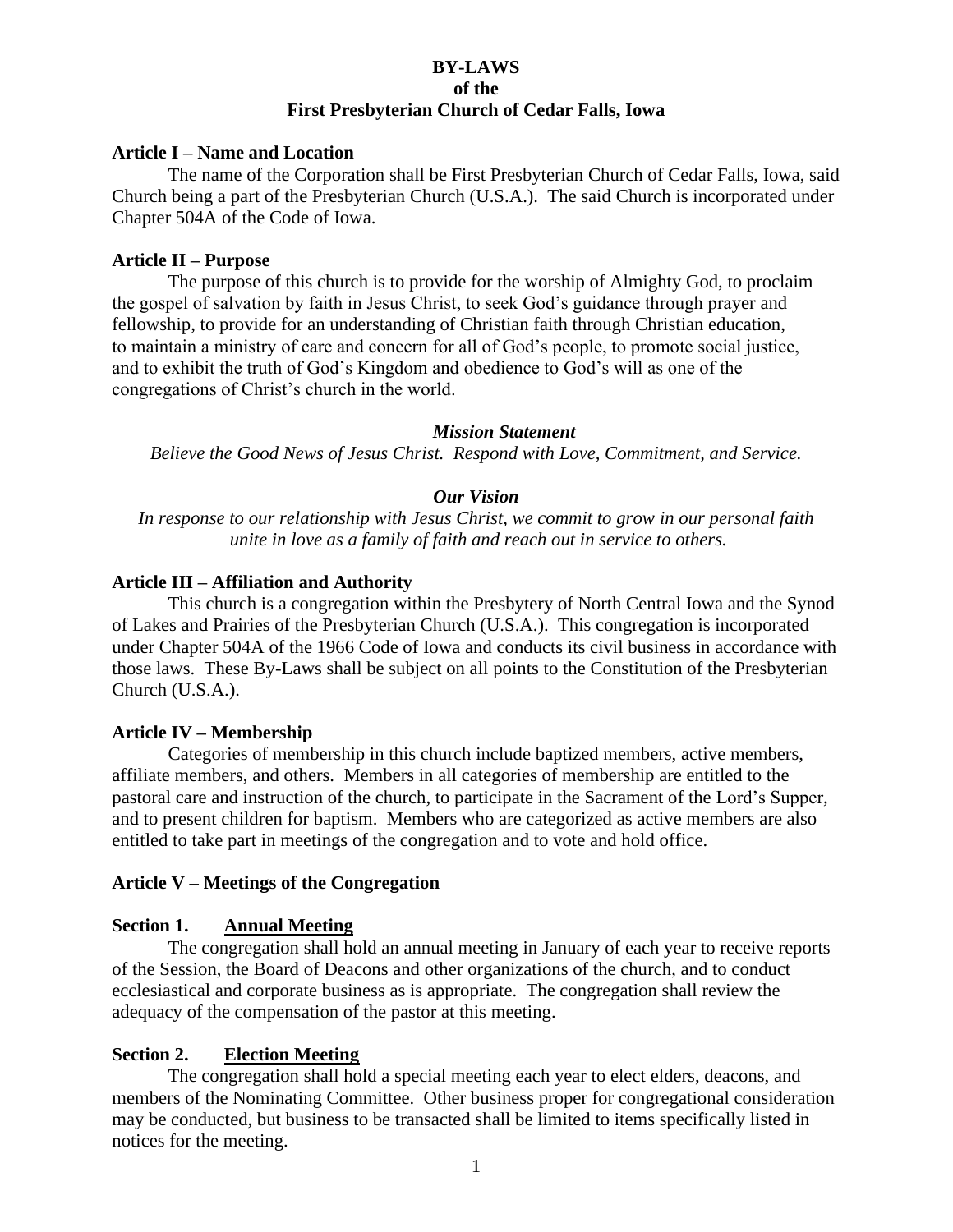#### **BY-LAWS of the First Presbyterian Church of Cedar Falls, Iowa**

#### **Article I – Name and Location**

The name of the Corporation shall be First Presbyterian Church of Cedar Falls, Iowa, said Church being a part of the Presbyterian Church (U.S.A.). The said Church is incorporated under Chapter 504A of the Code of Iowa.

#### **Article II – Purpose**

The purpose of this church is to provide for the worship of Almighty God, to proclaim the gospel of salvation by faith in Jesus Christ, to seek God's guidance through prayer and fellowship, to provide for an understanding of Christian faith through Christian education, to maintain a ministry of care and concern for all of God's people, to promote social justice, and to exhibit the truth of God's Kingdom and obedience to God's will as one of the congregations of Christ's church in the world.

#### *Mission Statement*

*Believe the Good News of Jesus Christ. Respond with Love, Commitment, and Service.*

#### *Our Vision*

*In response to our relationship with Jesus Christ, we commit to grow in our personal faith unite in love as a family of faith and reach out in service to others.*

#### **Article III – Affiliation and Authority**

This church is a congregation within the Presbytery of North Central Iowa and the Synod of Lakes and Prairies of the Presbyterian Church (U.S.A.). This congregation is incorporated under Chapter 504A of the 1966 Code of Iowa and conducts its civil business in accordance with those laws. These By-Laws shall be subject on all points to the Constitution of the Presbyterian Church (U.S.A.).

#### **Article IV – Membership**

Categories of membership in this church include baptized members, active members, affiliate members, and others. Members in all categories of membership are entitled to the pastoral care and instruction of the church, to participate in the Sacrament of the Lord's Supper, and to present children for baptism. Members who are categorized as active members are also entitled to take part in meetings of the congregation and to vote and hold office.

#### **Article V – Meetings of the Congregation**

#### **Section 1. Annual Meeting**

The congregation shall hold an annual meeting in January of each year to receive reports of the Session, the Board of Deacons and other organizations of the church, and to conduct ecclesiastical and corporate business as is appropriate. The congregation shall review the adequacy of the compensation of the pastor at this meeting.

#### **Section 2. Election Meeting**

The congregation shall hold a special meeting each year to elect elders, deacons, and members of the Nominating Committee. Other business proper for congregational consideration may be conducted, but business to be transacted shall be limited to items specifically listed in notices for the meeting.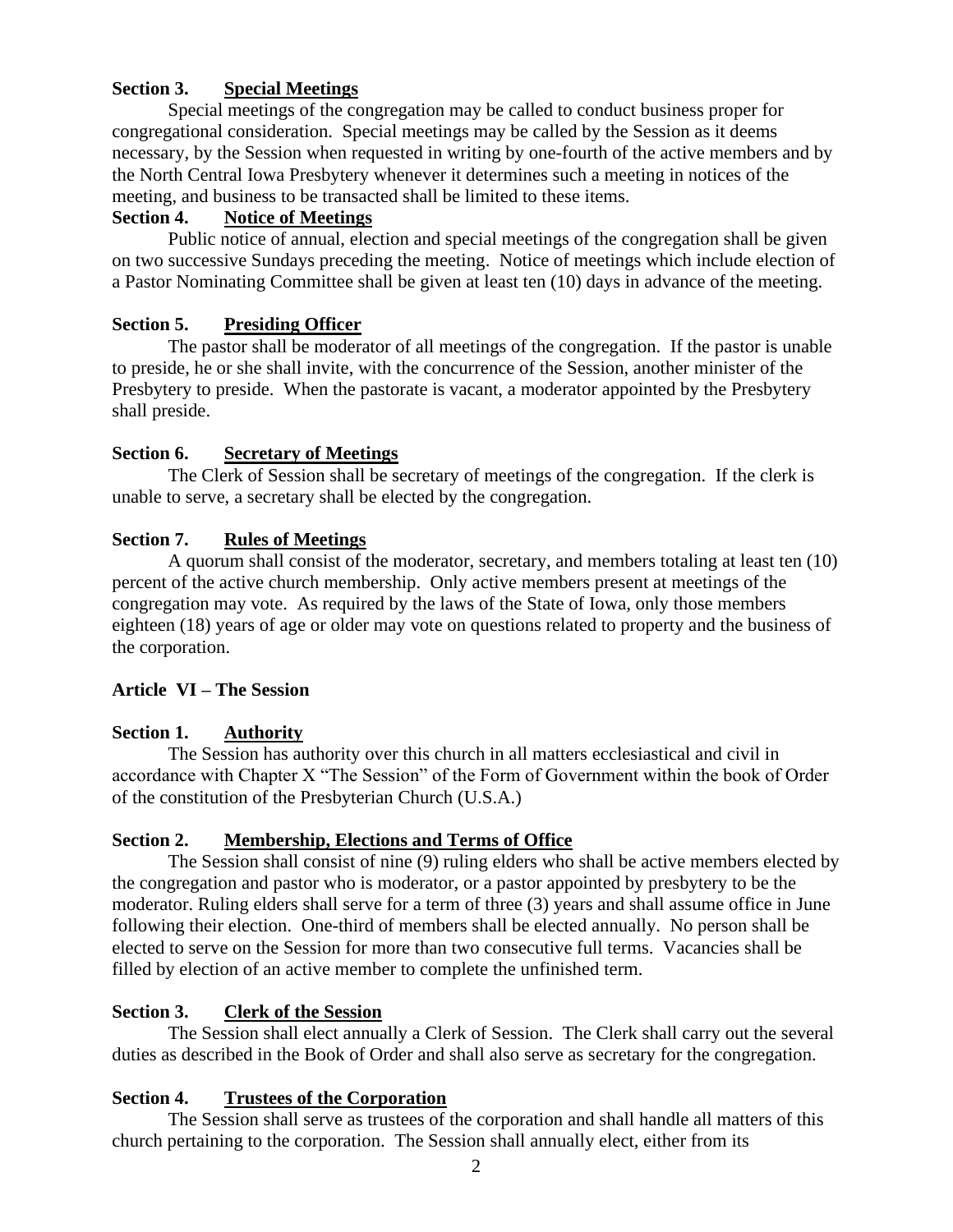### **Section 3. Special Meetings**

Special meetings of the congregation may be called to conduct business proper for congregational consideration. Special meetings may be called by the Session as it deems necessary, by the Session when requested in writing by one-fourth of the active members and by the North Central Iowa Presbytery whenever it determines such a meeting in notices of the meeting, and business to be transacted shall be limited to these items.

### **Section 4. Notice of Meetings**

Public notice of annual, election and special meetings of the congregation shall be given on two successive Sundays preceding the meeting. Notice of meetings which include election of a Pastor Nominating Committee shall be given at least ten (10) days in advance of the meeting.

## **Section 5. Presiding Officer**

The pastor shall be moderator of all meetings of the congregation. If the pastor is unable to preside, he or she shall invite, with the concurrence of the Session, another minister of the Presbytery to preside. When the pastorate is vacant, a moderator appointed by the Presbytery shall preside.

## **Section 6. Secretary of Meetings**

The Clerk of Session shall be secretary of meetings of the congregation. If the clerk is unable to serve, a secretary shall be elected by the congregation.

## **Section 7. Rules of Meetings**

A quorum shall consist of the moderator, secretary, and members totaling at least ten (10) percent of the active church membership. Only active members present at meetings of the congregation may vote. As required by the laws of the State of Iowa, only those members eighteen (18) years of age or older may vote on questions related to property and the business of the corporation.

### **Article VI – The Session**

# **Section 1. Authority**

The Session has authority over this church in all matters ecclesiastical and civil in accordance with Chapter X "The Session" of the Form of Government within the book of Order of the constitution of the Presbyterian Church (U.S.A.)

### **Section 2. Membership, Elections and Terms of Office**

The Session shall consist of nine (9) ruling elders who shall be active members elected by the congregation and pastor who is moderator, or a pastor appointed by presbytery to be the moderator. Ruling elders shall serve for a term of three (3) years and shall assume office in June following their election. One-third of members shall be elected annually. No person shall be elected to serve on the Session for more than two consecutive full terms. Vacancies shall be filled by election of an active member to complete the unfinished term.

### **Section 3. Clerk of the Session**

The Session shall elect annually a Clerk of Session. The Clerk shall carry out the several duties as described in the Book of Order and shall also serve as secretary for the congregation.

# **Section 4. Trustees of the Corporation**

The Session shall serve as trustees of the corporation and shall handle all matters of this church pertaining to the corporation. The Session shall annually elect, either from its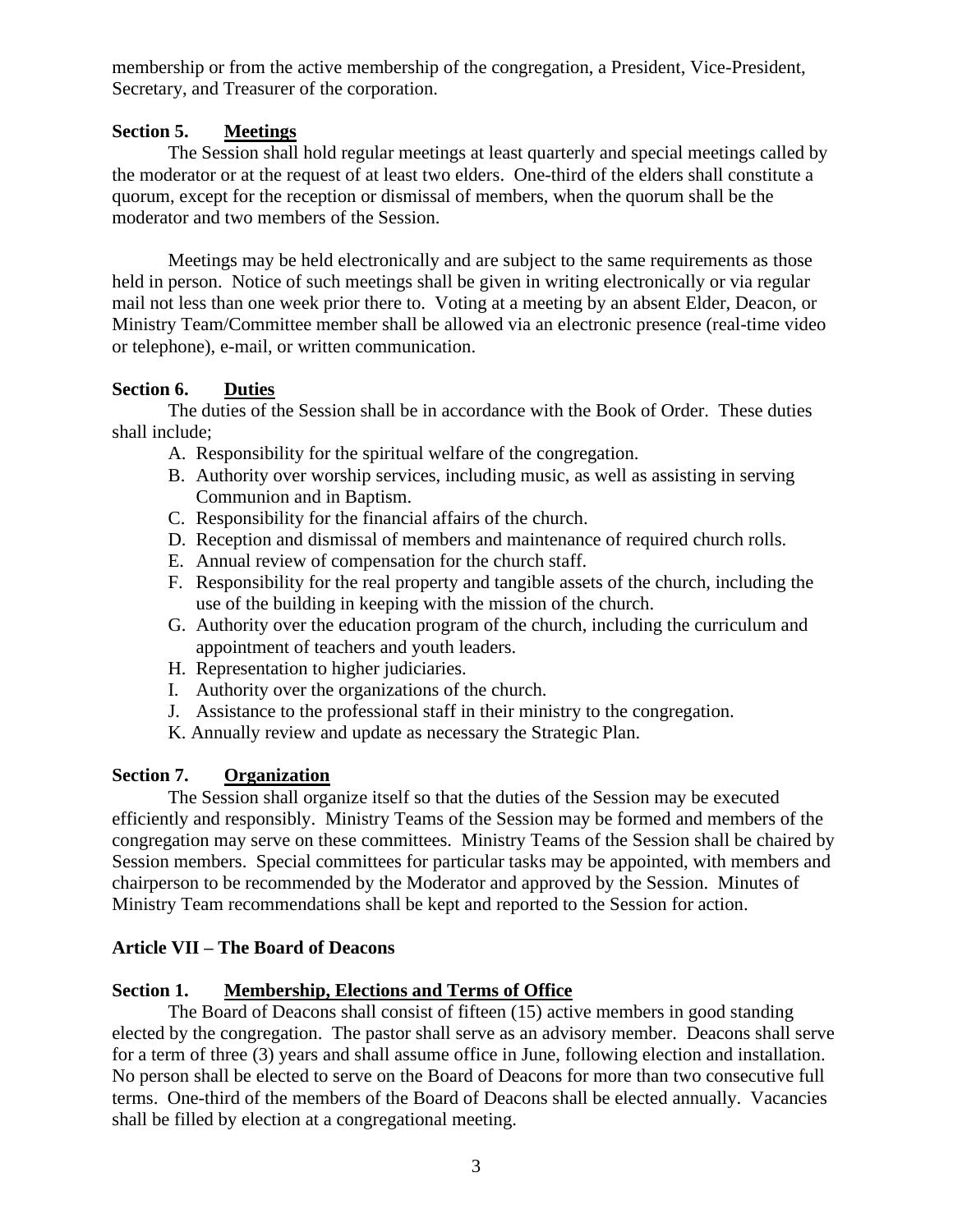membership or from the active membership of the congregation, a President, Vice-President, Secretary, and Treasurer of the corporation.

## **Section 5. Meetings**

The Session shall hold regular meetings at least quarterly and special meetings called by the moderator or at the request of at least two elders. One-third of the elders shall constitute a quorum, except for the reception or dismissal of members, when the quorum shall be the moderator and two members of the Session.

Meetings may be held electronically and are subject to the same requirements as those held in person. Notice of such meetings shall be given in writing electronically or via regular mail not less than one week prior there to. Voting at a meeting by an absent Elder, Deacon, or Ministry Team/Committee member shall be allowed via an electronic presence (real-time video or telephone), e-mail, or written communication.

## **Section 6. Duties**

The duties of the Session shall be in accordance with the Book of Order. These duties shall include;

- A. Responsibility for the spiritual welfare of the congregation.
- B. Authority over worship services, including music, as well as assisting in serving Communion and in Baptism.
- C. Responsibility for the financial affairs of the church.
- D. Reception and dismissal of members and maintenance of required church rolls.
- E. Annual review of compensation for the church staff.
- F. Responsibility for the real property and tangible assets of the church, including the use of the building in keeping with the mission of the church.
- G. Authority over the education program of the church, including the curriculum and appointment of teachers and youth leaders.
- H. Representation to higher judiciaries.
- I. Authority over the organizations of the church.
- J. Assistance to the professional staff in their ministry to the congregation.
- K. Annually review and update as necessary the Strategic Plan.

# **Section 7. Organization**

The Session shall organize itself so that the duties of the Session may be executed efficiently and responsibly. Ministry Teams of the Session may be formed and members of the congregation may serve on these committees. Ministry Teams of the Session shall be chaired by Session members. Special committees for particular tasks may be appointed, with members and chairperson to be recommended by the Moderator and approved by the Session. Minutes of Ministry Team recommendations shall be kept and reported to the Session for action.

# **Article VII – The Board of Deacons**

### **Section 1. Membership, Elections and Terms of Office**

The Board of Deacons shall consist of fifteen (15) active members in good standing elected by the congregation. The pastor shall serve as an advisory member. Deacons shall serve for a term of three (3) years and shall assume office in June, following election and installation. No person shall be elected to serve on the Board of Deacons for more than two consecutive full terms. One-third of the members of the Board of Deacons shall be elected annually. Vacancies shall be filled by election at a congregational meeting.